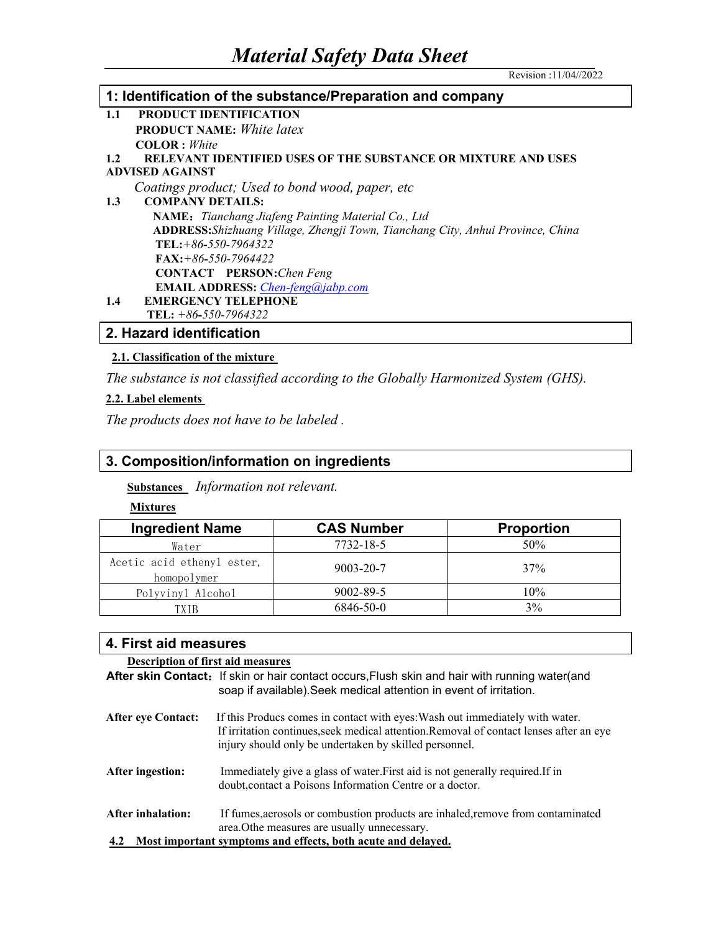### **1: Identification of the substance/Preparation and company 1.1 PRODUCT IDENTIFICATION PRODUCT NAME:** *White latex* **COLOR :** *White* **1.2 RELEVANT IDENTIFIED USES OF THE SUBSTANCE OR MIXTURE AND USES ADVISED AGAINST** *Coatings product; Used to bond wood, paper, etc* **1.3 COMPANY DETAILS: NAME:***Tianchang Jiafeng Painting Material Co., Ltd* **ADDRESS:***Shizhuang Village, Zhengji Town, Tianchang City, Anhui Province, China* **TEL:***+86***-***550-7964322*

**FAX:***+86***-***550-7964422* **CONTACT PERSON:***Chen Feng*

**EMAIL ADDRESS:** *[Chen-feng@jabp.com](mailto:Chen-feng@jabp.com)*

# **1.4 EMERGENCY TELEPHONE**

**TEL:** *+86***-***550-7964322*

# **2. Hazard identification**

## **2.1. Classification of the mixture**

*The substance is not classified according to the Globally Harmonized System (GHS).*

## **2.2. Label elements**

*The products does not have to be labeled .*

# **3. Composition/information on ingredients**

**Substances** *Information not relevant.*

### **Mixtures**

| <b>Ingredient Name</b>                    | <b>CAS Number</b> | <b>Proportion</b> |
|-------------------------------------------|-------------------|-------------------|
| Water                                     | 7732-18-5         | 50%               |
| Acetic acid ethenyl ester,<br>homopolymer | $9003 - 20 - 7$   | 37%               |
| Polyvinyl Alcohol                         | 9002-89-5         | 10%               |
| `X T B                                    | 6846-50-0         | 3%                |

## **4. First aid measures**

| <b>Description of first aid measures</b>                            |                                                                                                                                                                                                                                   |  |
|---------------------------------------------------------------------|-----------------------------------------------------------------------------------------------------------------------------------------------------------------------------------------------------------------------------------|--|
|                                                                     | After skin Contact: If skin or hair contact occurs, Flush skin and hair with running water(and                                                                                                                                    |  |
|                                                                     | soap if available). Seek medical attention in event of irritation.                                                                                                                                                                |  |
| <b>After eve Contact:</b>                                           | If this Producs comes in contact with eyes: Wash out immediately with water.<br>If irritation continues, seek medical attention. Removal of contact lenses after an eye<br>injury should only be undertaken by skilled personnel. |  |
| After ingestion:                                                    | Immediately give a glass of water. First aid is not generally required. If in<br>doubt, contact a Poisons Information Centre or a doctor.                                                                                         |  |
| <b>After inhalation:</b>                                            | If fumes, aerosols or combustion products are inhaled, remove from contaminated<br>area. Othe measures are usually unnecessary.                                                                                                   |  |
| Most important symptoms and effects, both acute and delayed.<br>4.2 |                                                                                                                                                                                                                                   |  |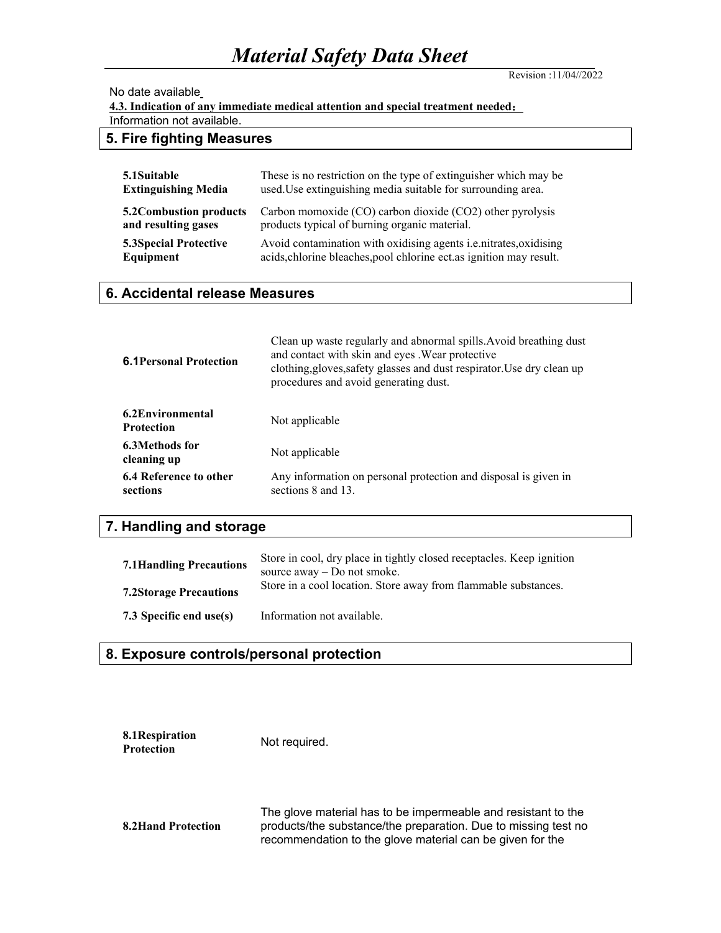# *Material Safety Data Sheet*

Revision :11/04//2022

#### No date available

**4.3. Indication of any immediate medical attention and special treatment needed:**

Information not available.

# **5. Fire fighting Measures**

| 5.1 Suitable                  | These is no restriction on the type of extinguisher which may be         |
|-------------------------------|--------------------------------------------------------------------------|
| <b>Extinguishing Media</b>    | used. Use extinguishing media suitable for surrounding area.             |
| 5.2 Combustion products       | Carbon momoxide (CO) carbon dioxide (CO2) other pyrolysis                |
| and resulting gases           | products typical of burning organic material.                            |
| <b>5.3 Special Protective</b> | Avoid contamination with oxidising agents <i>i.e.nitrates, oxidising</i> |
| Equipment                     | acids, chlorine bleaches, pool chlorine ect. as ignition may result.     |

### **6. Accidental release Measures**

| <b>6.1 Personal Protection</b>         | Clean up waste regularly and abnormal spills. Avoid breathing dust<br>and contact with skin and eyes. Wear protective<br>clothing, gloves, safety glasses and dust respirator. Use dry clean up<br>procedures and avoid generating dust. |
|----------------------------------------|------------------------------------------------------------------------------------------------------------------------------------------------------------------------------------------------------------------------------------------|
| 6.2 Environmental<br><b>Protection</b> | Not applicable                                                                                                                                                                                                                           |
| 6.3Methods for<br>cleaning up          | Not applicable                                                                                                                                                                                                                           |
| 6.4 Reference to other<br>sections     | Any information on personal protection and disposal is given in<br>sections 8 and 13.                                                                                                                                                    |

# **7. Handling and storage**

| <b>7.1 Handling Precautions</b> | Store in cool, dry place in tightly closed receptacles. Keep ignition<br>source away – Do not smoke. |
|---------------------------------|------------------------------------------------------------------------------------------------------|
| <b>7.2Storage Precautions</b>   | Store in a cool location. Store away from flammable substances.                                      |
| 7.3 Specific end use(s)         | Information not available.                                                                           |

### **8. Exposure controls/personal protection**

| 8.1 Respiration   | Not required. |
|-------------------|---------------|
| <b>Protection</b> |               |

**8.2Hand Protection** The glove material has to be impermeable and resistant to the products/the substance/the preparation. Due to missing test no recommendation to the glove material can be given for the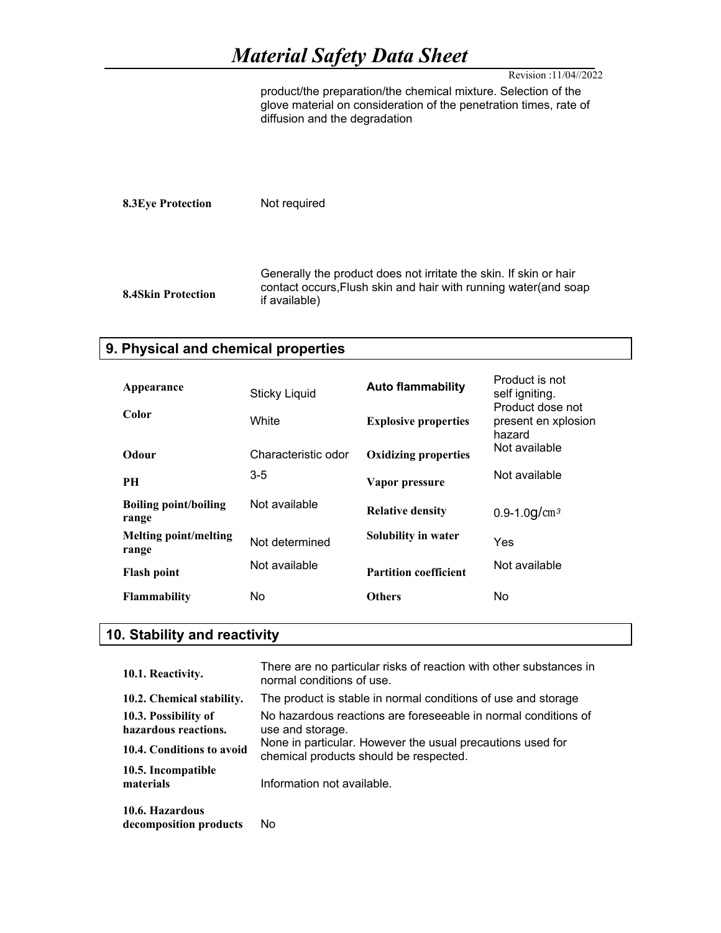# *Material Safety Data Sheet*

Revision :11/04//2022

product/the preparation/the chemical mixture. Selection of the glove material on consideration of the penetration times, rate of diffusion and the degradation

**8.3Eye Protection** Not required **8.4Skin Protection** Generally the product does not irritate the skin. If skin or hair contact occurs,Flush skin and hair with running water(and soap if available)

### **9. Physical and chemical properties**

| Appearance                            | <b>Sticky Liquid</b> | <b>Auto flammability</b>     | Product is not<br>self igniting.                  |
|---------------------------------------|----------------------|------------------------------|---------------------------------------------------|
| Color                                 | White                | <b>Explosive properties</b>  | Product dose not<br>present en xplosion<br>hazard |
| Odour                                 | Characteristic odor  | <b>Oxidizing properties</b>  | Not available                                     |
| <b>PH</b>                             | $3 - 5$              | Vapor pressure               | Not available                                     |
| <b>Boiling point/boiling</b><br>range | Not available        | <b>Relative density</b>      | 0.9-1.0g/ $cm3$                                   |
| <b>Melting point/melting</b><br>range | Not determined       | Solubility in water          | Yes                                               |
| <b>Flash point</b>                    | Not available        | <b>Partition coefficient</b> | Not available                                     |
| <b>Flammability</b>                   | No                   | <b>Others</b>                | No                                                |

# **10. Stability and reactivity**

| 10.1. Reactivity.                            | There are no particular risks of reaction with other substances in<br>normal conditions of use.      |
|----------------------------------------------|------------------------------------------------------------------------------------------------------|
| 10.2. Chemical stability.                    | The product is stable in normal conditions of use and storage                                        |
| 10.3. Possibility of<br>hazardous reactions. | No hazardous reactions are foreseeable in normal conditions of<br>use and storage.                   |
| 10.4. Conditions to avoid                    | None in particular. However the usual precautions used for<br>chemical products should be respected. |
| 10.5. Incompatible<br>materials              | Information not available.                                                                           |
| 10.6. Hazardous<br>decomposition products    | No                                                                                                   |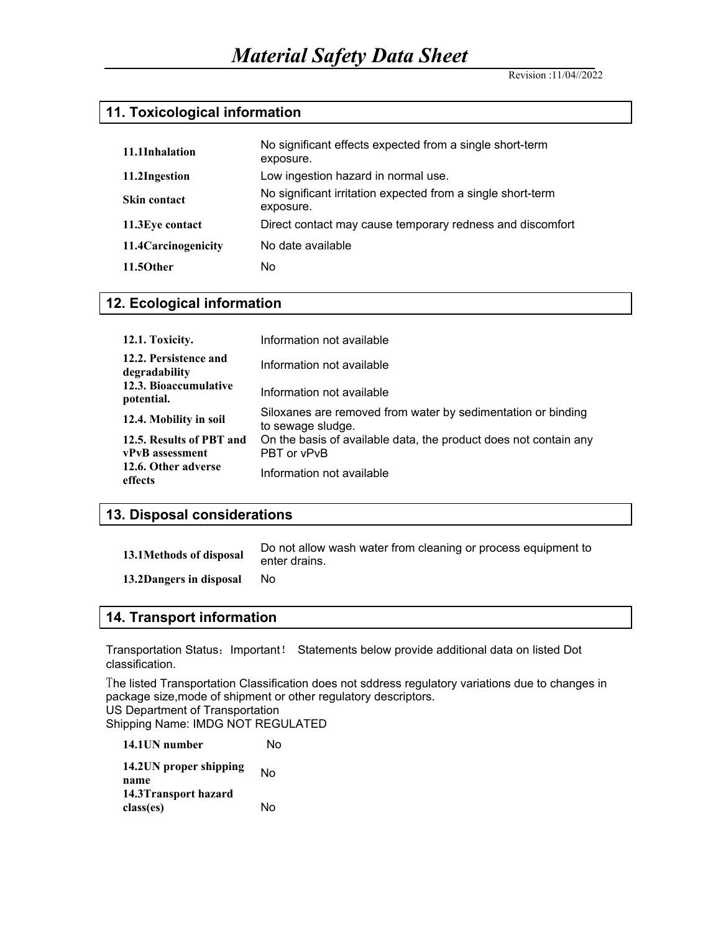Revision :11/04//2022

# **11. Toxicological information**

| 11.1Inhalation       | No significant effects expected from a single short-term<br>exposure.    |
|----------------------|--------------------------------------------------------------------------|
| 11.2Ingestion        | Low ingestion hazard in normal use.                                      |
| <b>Skin contact</b>  | No significant irritation expected from a single short-term<br>exposure. |
| 11.3 Eye contact     | Direct contact may cause temporary redness and discomfort                |
| 11.4 Carcinogenicity | No date available                                                        |
| 11.50ther            | No                                                                       |

### **12. Ecological information**

| 12.1. Toxicity.                        | Information not available                                                         |
|----------------------------------------|-----------------------------------------------------------------------------------|
| 12.2. Persistence and<br>degradability | Information not available                                                         |
| 12.3. Bioaccumulative<br>potential.    | Information not available                                                         |
| 12.4. Mobility in soil                 | Siloxanes are removed from water by sedimentation or binding<br>to sewage sludge. |
| 12.5. Results of PBT and               | On the basis of available data, the product does not contain any                  |
| vPvB assessment                        | PBT or vPvB                                                                       |
| 12.6. Other adverse<br>effects         | Information not available                                                         |

# **13. Disposal considerations**

| 13.1Methods of disposal | Do not allow wash water from cleaning or process equipment to<br>enter drains. |
|-------------------------|--------------------------------------------------------------------------------|
| 13.2Dangers in disposal | Nο                                                                             |

### **14. Transport information**

Transportation Status:Important! Statements below provide additional data on listed Dot classification.

The listed Transportation Classification does not sddress regulatory variations due to changes in package size,mode of shipment or other regulatory descriptors. US Department of Transportation Shipping Name: IMDG NOT REGULATED

| 14.1UN number                  | N٥ |
|--------------------------------|----|
| 14.2UN proper shipping<br>name | N٥ |
| 14.3 Transport hazard          |    |
| class(es)                      | N٥ |